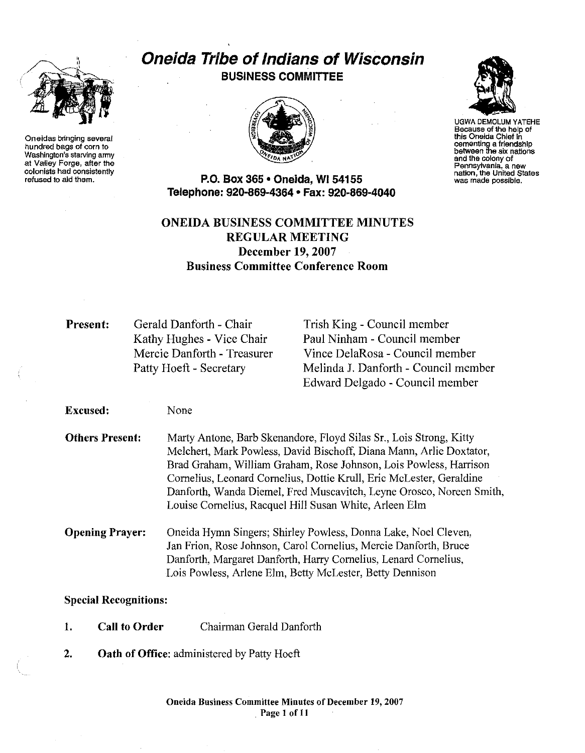

On aidas bringing several hundred bags of corn to Washington's starving army at Valley Forge, after the colonists had consistently refused to aid them.

# Oneida Tribe of Indians of Wisconsin BUSINESS COMMITTEE



UGWA DEMOLUM YATEHE Because of the help of this Oneida Chief in cementing a friendship between the six nations and the colony of<br>Pennsylvania, a new nation, the United States was made possible.

P.O. Box 365· Oneida, WI 54155 Telephone: 920-869-4364 • Fax: 920-869-4040

## ONEIDA BUSINESS COMMITTEE MINUTES REGULAR MEETING December 19,2007 Business Committee Conference Room

Present: Gerald Danforth - Chair Kathy Hughes - Vice Chair Mercie Danforth - Treasurer Patty Hoeft - Secretary

None

Trish King - Council member Paul Ninham - Council member Vince DelaRosa - Council member Melinda J. Danforth - Council member Edward Delgado - Council member

Excused:

Others Present: Marty Antone, Barb Skenandore, Floyd Silas Sr., Lois Strong, Kitty Melchert, Mark Powless, David Bischoff, Diana Mann, Arlie Doxtator, Brad Graham, William Graham, Rose Johnson, Lois Powless, Harrison Cornelius, Leonard Cornelius, Dottie Krull, Eric McLester, Geraldine Danforth, Wanda Diemel, Fred Muscavitch, Leyne Orosco, Noreen Smith, Louise Cornelius, Racquel Hill Susan White, Arleen Elm

Opening Prayer: Oneida Hymn Singers; Shirley Powless, Donna Lake, Noel Cleven, Jan Frion, Rose Johnson, Carol Cornelius, Mercie Danforth, Bruce Danforth, Margaret Danforth, Harry Cornelius, Lenard Cornelius, Lois Powless, Arlene Elm, Betty McLester, Betty Dennison

### Special Recognitions:

- 1. Call to Order Chairman Gerald Danforth
- 2. Oath of Office: administered by Patty Hoeft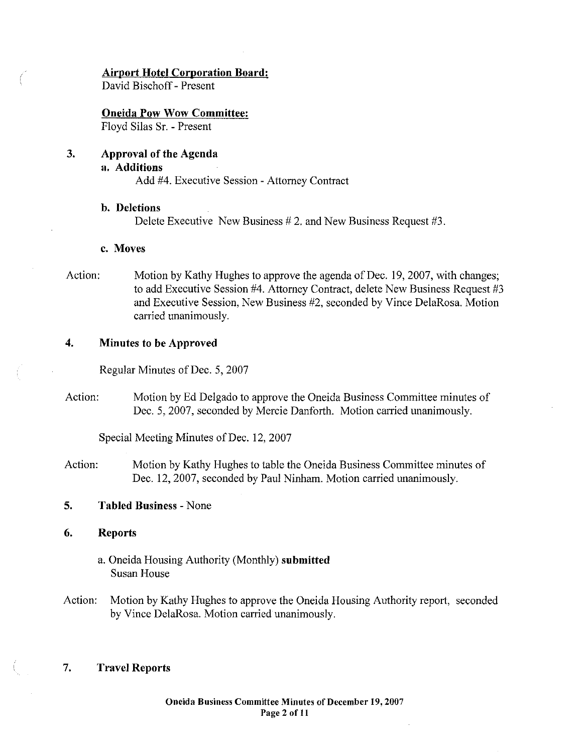#### Airport Hotel Corporation Board:

David Bischoff - Present

Oneida Pow Wow Committee: Floyd Silas Sr. - Present

3. Approval of the Agenda a. Additions Add #4. Executive Session - Attorney Contract

## b. Deletions

Delete Executive New Business # 2. and New Business Request #3.

#### c. Moves

Action: Motion by Kathy Hughes to approve the agenda of Dec. 19, 2007, with changes; to add Executive Session #4. Attorney Contract, delete New Business Request #3 and Executive Session, New Business #2, seconded by Vince DelaRosa. Motion carried unanimously.

#### 4. Minutes to be Approved

Regular Minutes of Dec. 5, 2007

Action: Motion by Ed Delgado to approve the Oneida Business Committee minutes of Dec. 5,2007, seconded by Mercie Danforth. Motion carried unanimously.

Special Meeting Minutes of Dec. 12, 2007

Action: Motion by Kathy Hughes to table the Oneida Business Committee minutes of Dec. 12, 2007, seconded by Paul Ninham. Motion carried unanimously.

#### 5. Tabled Business - None

#### 6. Reports

- a. Oneida Housing Authority (Monthly) submitted Susan House
- Action: Motion by Kathy Hughes to approve the Oneida Housing Authority report, seconded by Vince DelaRosa. Motion carried unanimously.

#### 7. Travel Reports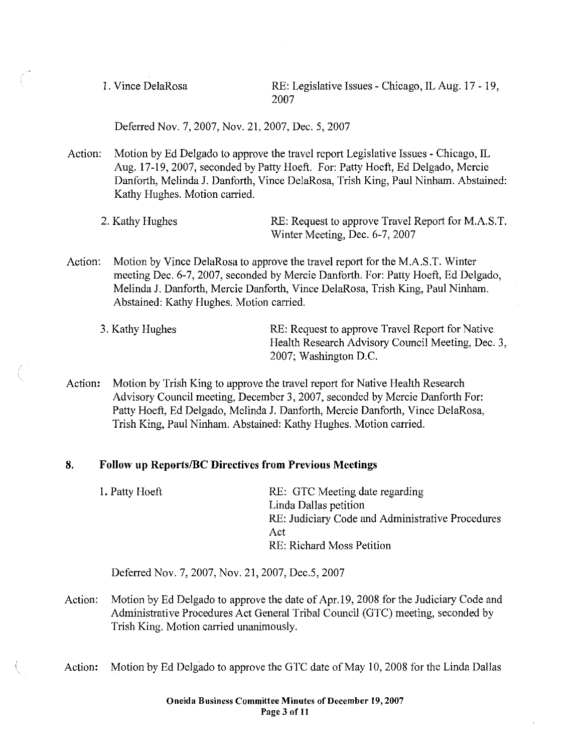1. Vince DelaRosa RE: Legislative Issues - Chicago, IL Aug. 17 - 19, 2007

Deferred Nov. 7,2007, Nov. 21, 2007, Dec. 5, 2007

Action: Motion by Ed Delgado to approve the travel report Legislative Issues - Chicago, IL Aug. 17-19,2007, seconded by Patty Hoeft. For: Patty Hoeft, Ed Delgado, Mercie Danforth, Melinda J. Danforth, Vince DelaRosa, Trish King, Paul Ninham. Abstained: Kathy Hughes. Motion carried.

2. Kathy Hughes RE: Request to approve Travel Report for M.A.S.T. Winter Meeting, Dec. 6-7, 2007

Action: Motion by Vince DelaRosa to approve the travel report for the M.A.S.T. Winter meeting Dec. 6-7, 2007, seconded by Mercie Danforth. For: Patty Hoeft, Ed Delgado, Melinda J. Danforth, Mercie Danforth, Vince DelaRosa, Trish King, Paul Ninham. Abstained: Kathy Hughes. Motion carried.

Action: Motion by Trish King to approve the travel report for Native Health Research Advisory Council meeting, December 3, 2007, seconded by Mercie Danforth For: Patty Hoeft, Ed Delgado, Melinda J. Danforth, Mercie Danforth, Vince DelaRosa, Trish King, Paul Ninham. Abstained: Kathy Hughes. Motion carried.

#### 8. Follow up Reports/BC Directives from Previous Meetings

1. Patty Hoeft RE: GTC Meeting date regarding Linda Dallas petition RE: Judiciary Code and Administrative Procedures Act RE: Richard Moss Petition

Deferred Nov. 7, 2007, Nov. 21, 2007, Dec.5, 2007

- Action: Motion by Ed Delgado to approve the date of Apr. 19, 2008 for the Judiciary Code and Administrative Procedures Act General Tribal Council (GTC) meeting, seconded by Trish King. Motion carried unanimously.
- Action: Motion by Ed Delgado to approve the GTC date of May 10, 2008 for the Linda Dallas

<sup>3.</sup> Kathy Hughes RE: Request to approve Travel Report for Native Health Research Advisory Council Meeting, Dec. 3, 2007; Washington D.C.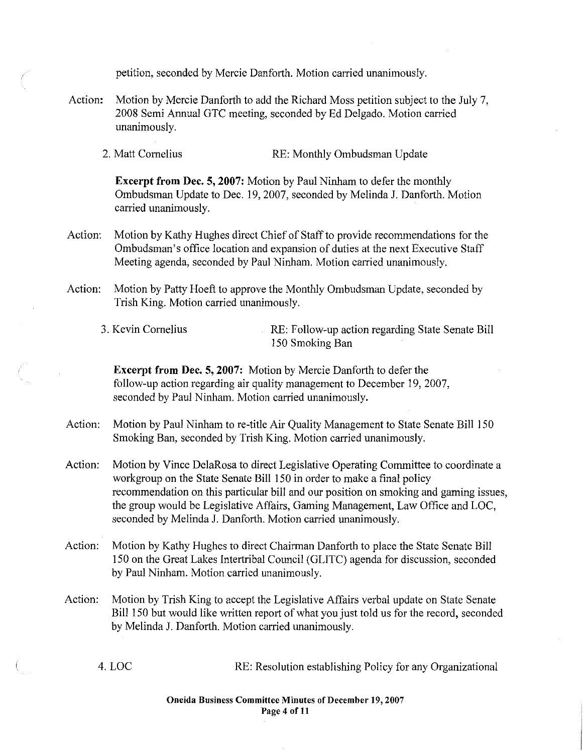| Action:                                                | Motion by Mercie Danforth to add the Richard Moss petition subject to the July 7,<br>2008 Semi Annual GTC meeting, seconded by Ed Delgado. Motion carried<br>unanimously. |                                                                                                                                                                                                                                                                                                                                                                                                         |  |  |
|--------------------------------------------------------|---------------------------------------------------------------------------------------------------------------------------------------------------------------------------|---------------------------------------------------------------------------------------------------------------------------------------------------------------------------------------------------------------------------------------------------------------------------------------------------------------------------------------------------------------------------------------------------------|--|--|
|                                                        | 2. Matt Cornelius                                                                                                                                                         | RE: Monthly Ombudsman Update                                                                                                                                                                                                                                                                                                                                                                            |  |  |
|                                                        | carried unanimously.                                                                                                                                                      | <b>Excerpt from Dec. 5, 2007:</b> Motion by Paul Ninham to defer the monthly<br>Ombudsman Update to Dec. 19, 2007, seconded by Melinda J. Danforth. Motion                                                                                                                                                                                                                                              |  |  |
| Action:                                                |                                                                                                                                                                           | Motion by Kathy Hughes direct Chief of Staff to provide recommendations for the<br>Ombudsman's office location and expansion of duties at the next Executive Staff<br>Meeting agenda, seconded by Paul Ninham. Motion carried unanimously.                                                                                                                                                              |  |  |
| Action:                                                | Motion by Patty Hoeft to approve the Monthly Ombudsman Update, seconded by<br>Trish King. Motion carried unanimously.                                                     |                                                                                                                                                                                                                                                                                                                                                                                                         |  |  |
|                                                        | 3. Kevin Cornelius                                                                                                                                                        | RE: Follow-up action regarding State Senate Bill<br>150 Smoking Ban                                                                                                                                                                                                                                                                                                                                     |  |  |
|                                                        |                                                                                                                                                                           | <b>Excerpt from Dec. 5, 2007:</b> Motion by Mercie Danforth to defer the<br>follow-up action regarding air quality management to December 19, 2007,<br>seconded by Paul Ninham. Motion carried unanimously.                                                                                                                                                                                             |  |  |
| Action:                                                |                                                                                                                                                                           | Motion by Paul Ninham to re-title Air Quality Management to State Senate Bill 150<br>Smoking Ban, seconded by Trish King. Motion carried unanimously.                                                                                                                                                                                                                                                   |  |  |
| Action:                                                |                                                                                                                                                                           | Motion by Vince DelaRosa to direct Legislative Operating Committee to coordinate a<br>workgroup on the State Senate Bill 150 in order to make a final policy<br>recommendation on this particular bill and our position on smoking and gaming issues,<br>the group would be Legislative Affairs, Gaming Management, Law Office and LOC,<br>seconded by Melinda J. Danforth. Motion carried unanimously. |  |  |
| Action:                                                | by Paul Ninham. Motion carried unanimously.                                                                                                                               | Motion by Kathy Hughes to direct Chairman Danforth to place the State Senate Bill<br>150 on the Great Lakes Intertribal Council (GLITC) agenda for discussion, seconded                                                                                                                                                                                                                                 |  |  |
| Action:                                                |                                                                                                                                                                           | Motion by Trish King to accept the Legislative Affairs verbal update on State Senate<br>Bill 150 but would like written report of what you just told us for the record, seconded<br>by Melinda J. Danforth. Motion carried unanimously.                                                                                                                                                                 |  |  |
|                                                        | 4. LOC                                                                                                                                                                    | RE: Resolution establishing Policy for any Organizational                                                                                                                                                                                                                                                                                                                                               |  |  |
| Oneida Business Committee Minutes of December 19, 2007 |                                                                                                                                                                           |                                                                                                                                                                                                                                                                                                                                                                                                         |  |  |

 $\int_{\infty}^{\infty}$ 

petition, seconded by Mercie Danforth. Motion carried unanimously.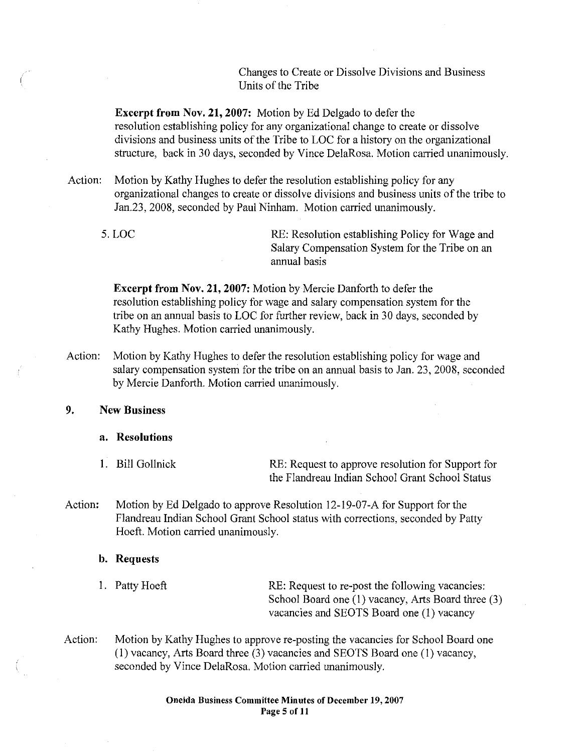Changes to Create or Dissolve Divisions and Business Units of the Tribe

**Excerpt from Nov. 21, 2007:** Motion by Ed Delgado to defer the resolution establishing policy for any organizational change to create or dissolve divisions and business units of the Tribe to LOC for a history on the organizational structure, back in 30 days, seconded by Vince DelaRosa. Motion carried unanimously.

Action: Motion by Kathy Hughes to defer the resolution establishing policy for any organizational changes to create or dissolve divisions and business units of the tribe to Jan.23, 2008, seconded by Paul Ninham. Motion carried unanimously.

5. LOC RE: Resolution establishing Policy for Wage and Salary Compensation System for the Tribe on an annual basis

**Excerpt from Nov. 21, 2007:** Motion by Mercie Danforth to defer the resolution establishing policy for wage and salary compensation system for the tribe on an annual basis to LOC for further review, back in 30 days, seconded by Kathy Hughes. Motion carried unanimously.

Action: Motion by Kathy Hughes to defer the resolution establishing policy for wage and salary compensation system for the tribe on an annual basis to Jan. 23, 2008, seconded by Mercie Danforth. Motion carried unanimously.

**9.** New **Business** 

#### **a. Resolutions**

1. Bill Gollnick RE: Request to approve resolution for Support for the Flandreau Indian School Grant School Status

Action: Motion by Ed Delgado to approve Resolution 12-19-07-A for Support for the Flandreau Indian School Grant School status with corrections, seconded by Patty Hoeft. Motion carried unanimously.

#### **b. Requests**

1. Patty Hoeft RE: Request to re-post the following vacancies: School Board one (I) vacancy, Arts Board three (3) vacancies and SEOTS Board one (I) vacancy

Action: Motion by Kathy Hughes to approve re-posting the vacancies for School Board one (I) vacancy, Arts Board three (3) vacancies and SEOTS Board one (I) vacancy, seconded by Vince DelaRosa. Motion carried unanimously.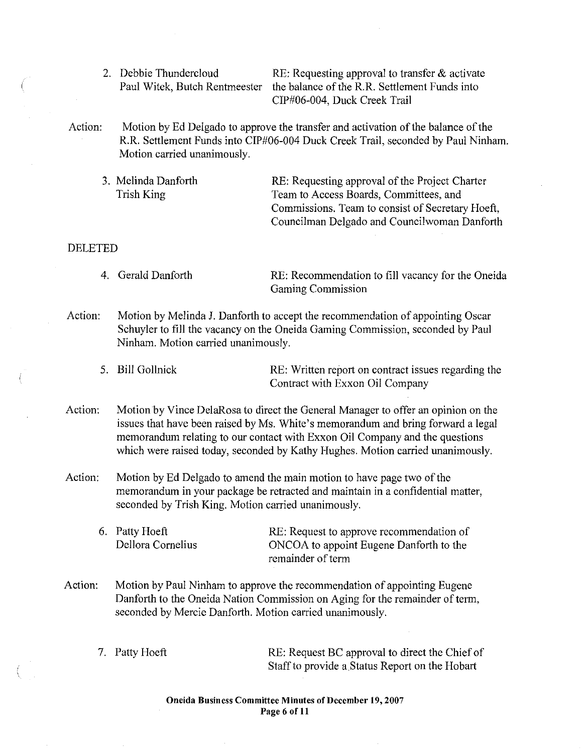2. Debbie Thundercloud RE: Requesting approval to transfer & activate Paul Witek, Butch Rentmeester the balance of the R.R. Settlement Funds into CIP#06-004, Duck Creek Trail

- Action: Motion by Ed Delgado to approve the transfer and activation of the balance of the R.R. Settlement Funds into CIP#06-004 Duck Creek Trail, seconded by Paul Ninham. Motion carried unanimously.
	- 3. Melinda Danforth Trish King RE: Requesting approval of the Project Charter Team to Access Boards, Committees, and Commissions. Team to consist of Secretary Hoeft, Councilman Delgado and Councilwoman Danforth

#### DELETED

- 4. Gerald Danforth RE: Recommendation to fill vacancy for the Oneida Gaming Commission
- Action: Motion by Melinda J. Danforth to accept the recommendation of appointing Oscar Schuyler to fill the vacancy on the Oneida Gaming Commission, seconded by Paul Ninham. Motion carried unanimously.
	- 5. Bill Gollnick RE: Written report on contract issues regarding the Contract with Exxon Oil Company
- Action: Motion by Vince DelaRosa to direct the General Manager to offer an opinion on the issues that have been raised by Ms. White's memorandum and bring forward a legal memorandum relating to our contact with Exxon Oil Company and the questions which were raised today, seconded by Kathy Hughes. Motion carried unanimously.
- Action: Motion by Ed Delgado to amend the main motion to have page two of the memorandum in your package be retracted and maintain in a confidential matter, seconded by Trish King. Motion carried unanimously.
	- 6. Patty Hoeft Dellora Cornelius RE: Request to approve recommendation of ONCOA to appoint Eugene Danforth to the remainder of term
- Action: Motion by Paul Ninham to approve the recommendation of appointing Eugene Danforth to the Oneida Nation Commission on Aging for the remainder of term, seconded by Mercie Danforth. Motion carried unanimously.
	-

7. Patty Hoeft RE: Request BC approval to direct the Chief of Staff to provide a Status Report on the Hobart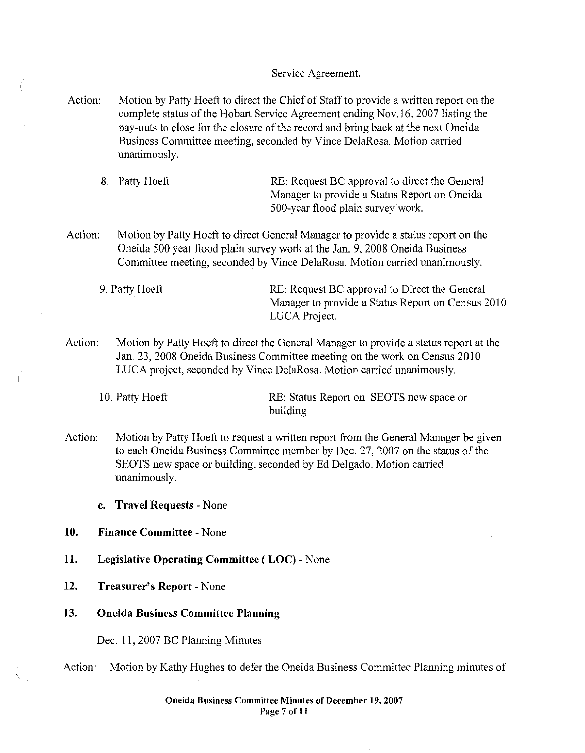#### Service Agreement.

Action: Motion by Patty Hoeft to direct the Chief of Staff to provide a written report on the complete status of the Hobart Service Agreement ending Nov.16, 2007 listing the pay-outs to close for the closure of the record and bring back at the next Oneida Business Committee meeting, seconded by Vince DelaRosa. Motion carried unanimously.

8. Patty Hoeft RE: Request BC approval to direct the General Manager to provide a Status Report on Oneida SOO-year flood plain survey work.

- Action: Motion by Patty Hoeft to direct General Manager to provide a status report on the Oneida 500 year flood plain survey work at the Jan. 9, 2008 Oneida Business Committee meeting, seconded by Vince DelaRosa. Motion carried unanimously.
	- 9. Patty Hoeft RE: Request BC approval to Direct the General Manager to provide a Status Report on Census 2010 LUCA Project.
- Action: Motion by Patty Hoeft to direct the General Manager to provide a status report at the Jan. 23, 2008 Oneida Business Committee meeting on the work on Census 2010 LUCA project, seconded by Vince DelaRosa. Motion carried unanimously.

10. Patty Hoeft **RE:** Status Report on SEOTS new space or building

- Action: Motion by Patty Hoeft to request a written report from the General Manager be given to each Oneida Business Committee member by Dec. 27, 2007 on the status of the SEOTS new space or building, seconded by Ed Delgado. Motion carried unanimously.
	- c. Travel Requests None
- 10. Finance Committee None
- 11. Legislative Operating Committee (LOC) None
- 12. Treasurer's Report None
- 13. Oneida Business Committee Planning

Dec. II, 2007 BC Planning Minutes

Action: Motion by Kathy Hughes to defer the Oneida Business Committee Planning minutes of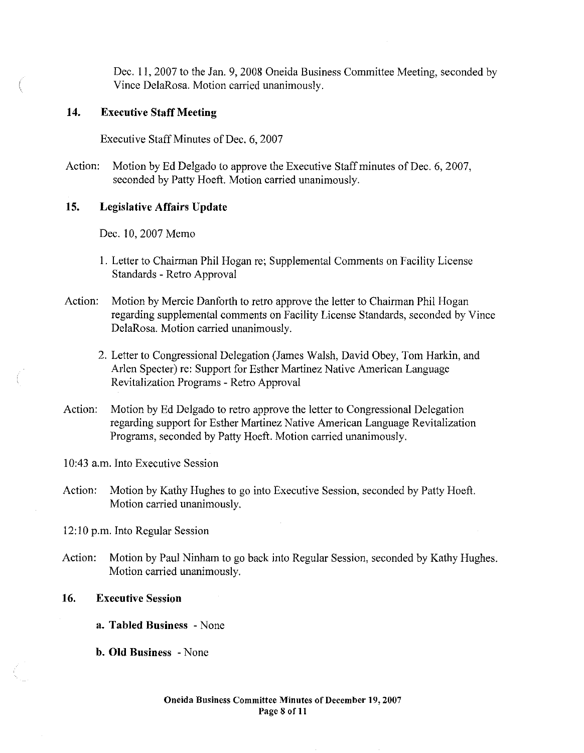Dec. 11,2007 to the Jan. 9,2008 Oneida Business Committee Meeting, seconded by Vince DelaRosa. Motion carried unanimously.

#### 14. Executive Staff Meeting

Executive Staff Minutes of Dec. 6,2007

Action: Motion by Ed Delgado to approve the Executive Staff minutes of Dec. 6, 2007, seconded by Patty Hoeft. Motion carried unanimously.

#### 15. Legislative Affairs Update

Dec. 10, 2007 Memo

- I. Letter to Chairman Phil Hogan re; Supplemental Comments on Facility License Standards - Retro Approval
- Action: Motion by Mercie Danforth to retro approve the letter to Chairman Phil Hogan regarding supplemental comments on Facility License Standards, seconded by Vince DelaRosa. Motion carried unanimously.
	- 2. Letter to Congressional Delegation (James Walsh, David Obey, Tom Harkin, and Arlen Specter) re: Support for Esther Martinez Native American Language Revitalization Programs - Retro Approval
- Action: Motion by Ed Delgado to retro approve the letter to Congressional Delegation regarding support for Esther Martinez Native American Language Revitalization Programs, seconded by Patty Hoeft. Motion carried unanimously.

10:43 a.m. Into Executive Session

Action: Motion by Kathy Hughes to go into Executive Session, seconded by Patty Hoeft. Motion carried unanimously.

12:10 p.m. Into Regular Session

Action: Motion by Paul Ninham to go back into Regular Session, seconded by Kathy Hughes. Motion carried unanimously.

#### 16. Executive Session

- a. Tabled Business None
- b. Old Business None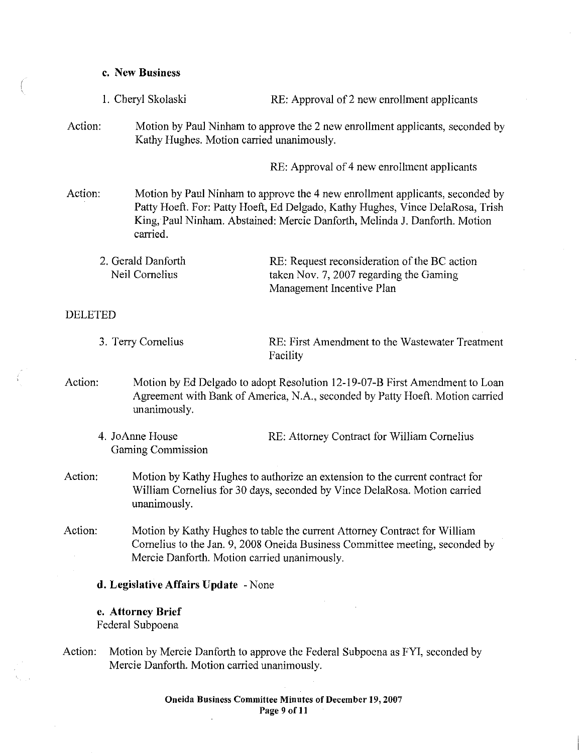## c. New Business

| 1. Cheryl Skolaski                    |                                                                                                                                                                                                                                                           | RE: Approval of 2 new enrollment applicants                                                                          |  |  |
|---------------------------------------|-----------------------------------------------------------------------------------------------------------------------------------------------------------------------------------------------------------------------------------------------------------|----------------------------------------------------------------------------------------------------------------------|--|--|
| Action:                               | Motion by Paul Ninham to approve the 2 new enrollment applicants, seconded by<br>Kathy Hughes. Motion carried unanimously.                                                                                                                                |                                                                                                                      |  |  |
|                                       |                                                                                                                                                                                                                                                           | RE: Approval of 4 new enrollment applicants                                                                          |  |  |
| Action:                               | Motion by Paul Ninham to approve the 4 new enrollment applicants, seconded by<br>Patty Hoeft. For: Patty Hoeft, Ed Delgado, Kathy Hughes, Vince DelaRosa, Trish<br>King, Paul Ninham. Abstained: Mercie Danforth, Melinda J. Danforth. Motion<br>carried. |                                                                                                                      |  |  |
| 2. Gerald Danforth<br>Neil Cornelius  |                                                                                                                                                                                                                                                           | RE: Request reconsideration of the BC action<br>taken Nov. 7, 2007 regarding the Gaming<br>Management Incentive Plan |  |  |
| <b>DELETED</b>                        |                                                                                                                                                                                                                                                           |                                                                                                                      |  |  |
| 3. Terry Cornelius                    |                                                                                                                                                                                                                                                           | RE: First Amendment to the Wastewater Treatment<br>Facility                                                          |  |  |
| Action:                               | Motion by Ed Delgado to adopt Resolution 12-19-07-B First Amendment to Loan<br>Agreement with Bank of America, N.A., seconded by Patty Hoeft. Motion carried<br>unanimously.                                                                              |                                                                                                                      |  |  |
| 4. JoAnne House<br>Gaming Commission  |                                                                                                                                                                                                                                                           | RE: Attorney Contract for William Cornelius                                                                          |  |  |
| Action:                               | Motion by Kathy Hughes to authorize an extension to the current contract for<br>William Cornelius for 30 days, seconded by Vince DelaRosa. Motion carried<br>unanimously.                                                                                 |                                                                                                                      |  |  |
| Action:                               | Motion by Kathy Hughes to table the current Attorney Contract for William<br>Cornelius to the Jan. 9, 2008 Oneida Business Committee meeting, seconded by<br>Mercie Danforth. Motion carried unanimously.                                                 |                                                                                                                      |  |  |
| d. Legislative Affairs Update - None  |                                                                                                                                                                                                                                                           |                                                                                                                      |  |  |
| e. Attorney Brief<br>Federal Subpoena |                                                                                                                                                                                                                                                           |                                                                                                                      |  |  |

Action: Motion by Mercie Danforth to approve the Federal Subpoena as FYI, seconded by Mercie Danforth. Motion carried unanimously.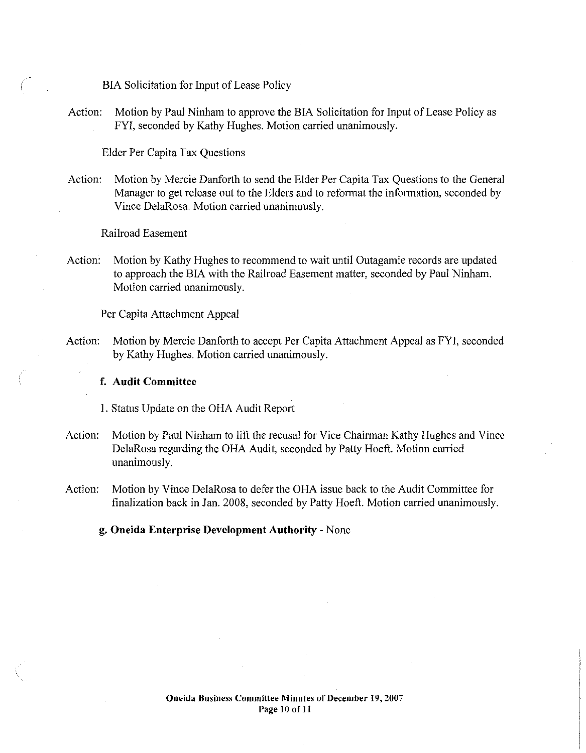BIA Solicitation for Input of Lease Policy

Action: Motion by Paul Ninbam to approve the BrA Solicitation for Input of Lease Policy as FYI, seconded by Kathy Hughes. Motion carried unanimously.

Elder Per Capita Tax Questions

Action: Motion by Mercie Danforth to send the Elder Per Capita Tax Questions to the General Manager to get release out to the Elders and to reformat the information, seconded by Vince DelaRosa. Motion carried unanimously.

Railroad Easement

Action: Motion by Kathy Hughes to recommend to wait until Outagamie records are updated to approach the BIA with the Railroad Easement matter, seconded by Paul Ninham. Motion carried unanimously.

Per Capita Attachment Appeal

Action: Motion by Mercie Danforth to accept Per Capita Attachment Appeal as FYI, seconded by Kathy Hughes. Motion carried unanimously.

#### f. Audit Committee

I. Status Update on the OHA Audit Report

- Action: Motion by Paul Ninbam to lift the recusal for Vice Chairman Kathy Hughes and Vince DelaRosa regarding the OHA Audit, seconded by Patty Hoeft. Motion carried unanimously.
- Action: Motion by Vince DelaRosa to defer the OHA issue back to the Audit Committee for finalization back in Jan. 2008, seconded by Patty Hoeft. Motion carried unanimously.

g. Oneida Enterprise Development Authority - None